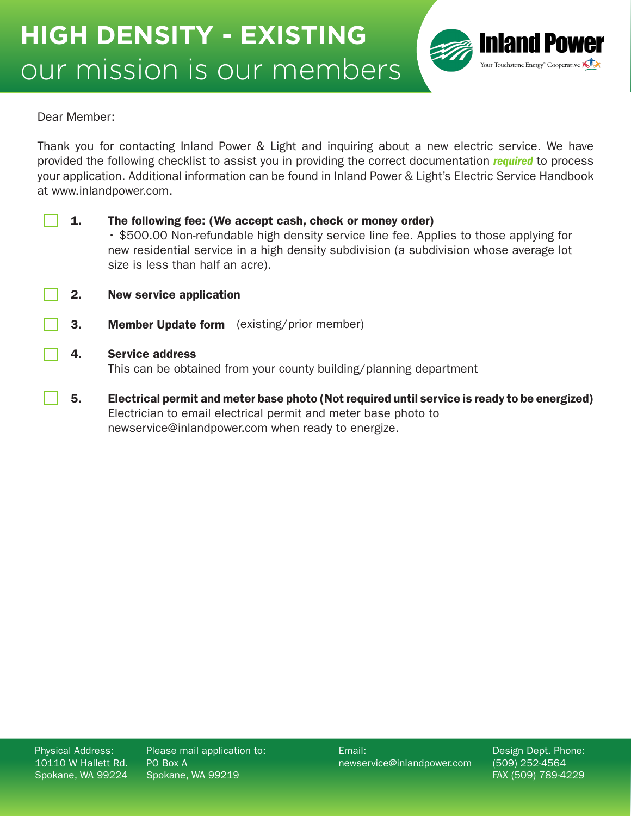

Dear Member:

Thank you for contacting Inland Power & Light and inquiring about a new electric service. We have provided the following checklist to assist you in providing the correct documentation *required* to process your application. Additional information can be found in Inland Power & Light's Electric Service Handbook at www.inlandpower.com.

| 1. | The following fee: (We accept cash, check or money order)<br>• \$500.00 Non-refundable high density service line fee. Applies to those applying for<br>new residential service in a high density subdivision (a subdivision whose average lot<br>size is less than half an acre). |  |
|----|-----------------------------------------------------------------------------------------------------------------------------------------------------------------------------------------------------------------------------------------------------------------------------------|--|
| 2. | <b>New service application</b>                                                                                                                                                                                                                                                    |  |
| 3. | <b>Member Update form</b> (existing/prior member)                                                                                                                                                                                                                                 |  |
| 4. | <b>Service address</b><br>This can be obtained from your county building/planning department                                                                                                                                                                                      |  |
| 5. | Electrical permit and meter base photo (Not required until service is ready to be energized)<br>Electrician to email electrical permit and meter base photo to                                                                                                                    |  |

newservice@inlandpower.com when ready to energize.